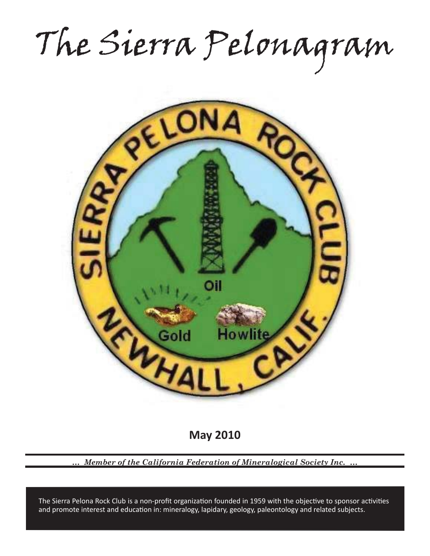The Sierra Pelonagram



**May 2010**

*… Member of the California Federation of Mineralogical Society Inc. …*

and promote interest and education in: mineralogy, lapidary, geology, paleontology and related subjects. The Sierra Pelona Rock Club is a non-profit organization founded in 1959 with the objective to sponsor activities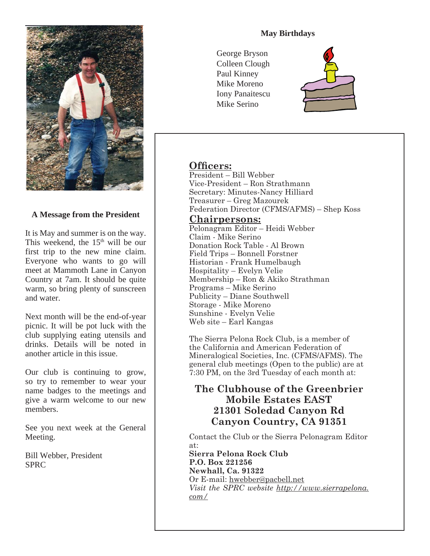

### **A Message from the President**

It is May and summer is on the way. This weekend, the  $15<sup>th</sup>$  will be our first trip to the new mine claim. Everyone who wants to go will meet at Mammoth Lane in Canyon Country at 7am. It should be quite warm, so bring plenty of sunscreen and water.

Next month will be the end-of-year picnic. It will be pot luck with the club supplying eating utensils and drinks. Details will be noted in another article in this issue.

Our club is continuing to grow, so try to remember to wear your name badges to the meetings and give a warm welcome to our new members.

See you next week at the General Meeting.

Bill Webber, President SPRC

## **May Birthdays**

George Bryson Colleen Clough Paul Kinney Mike Moreno Iony Panaitescu Mike Serino



## **Officers:**

President – Bill Webber Vice-President – Ron Strathmann Secretary: Minutes-Nancy Hilliard Treasurer – Greg Mazourek Federation Director (CFMS/AFMS) – Shep Koss

## **Chairpersons:**

Pelonagram Editor – Heidi Webber Claim - Mike Serino Donation Rock Table - Al Brown Field Trips – Bonnell Forstner Historian - Frank Humelbaugh Hospitality – Evelyn Velie Membership – Ron & Akiko Strathman Programs – Mike Serino Publicity – Diane Southwell Storage - Mike Moreno Sunshine - Evelyn Velie Web site – Earl Kangas

The Sierra Pelona Rock Club, is a member of the California and American Federation of Mineralogical Societies, Inc. (CFMS/AFMS). The general club meetings (Open to the public) are at 7:30 PM, on the 3rd Tuesday of each month at:

# **The Clubhouse of the Greenbrier Mobile Estates EAST 21301 Soledad Canyon Rd Canyon Country, CA 91351**

Contact the Club or the Sierra Pelonagram Editor at: **Sierra Pelona Rock Club P.O. Box 221256 Newhall, Ca. 91322** Or E-mail: hwebber@pacbell.net *Visit the SPRC website http://www.sierrapelona. com/*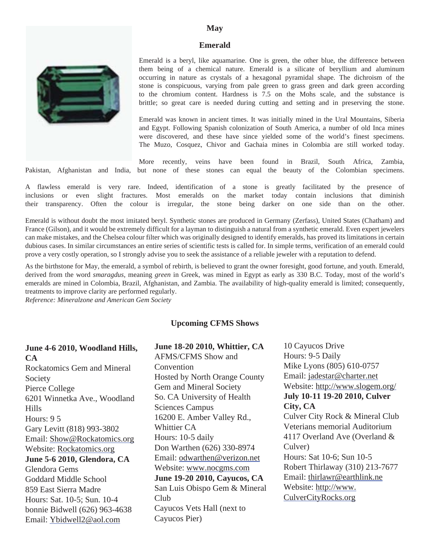### **May**

#### **Emerald**



Emerald is a beryl, like aquamarine. One is green, the other blue, the difference between them being of a chemical nature. Emerald is a silicate of beryllium and aluminum occurring in nature as crystals of a hexagonal pyramidal shape. The dichroism of the stone is conspicuous, varying from pale green to grass green and dark green according to the chromium content. Hardness is 7.5 on the Mohs scale, and the substance is brittle; so great care is needed during cutting and setting and in preserving the stone.

Emerald was known in ancient times. It was initially mined in the Ural Mountains, Siberia and Egypt. Following Spanish colonization of South America, a number of old Inca mines were discovered, and these have since yielded some of the world's finest specimens. The Muzo, Cosquez, Chivor and Gachaia mines in Colombia are still worked today.

More recently, veins have been found in Brazil, South Africa, Zambia, Pakistan, Afghanistan and India, but none of these stones can equal the beauty of the Colombian specimens.

A flawless emerald is very rare. Indeed, identification of a stone is greatly facilitated by the presence of inclusions or even slight fractures. Most emeralds on the market today contain inclusions that diminish their transparency. Often the colour is irregular, the stone being darker on one side than on the other.

Emerald is without doubt the most imitated beryl. Synthetic stones are produced in Germany (Zerfass), United States (Chatham) and France (Gilson), and it would be extremely difficult for a layman to distinguish a natural from a synthetic emerald. Even expert jewelers can make mistakes, and the Chelsea colour filter which was originally designed to identify emeralds, has proved its limitations in certain dubious cases. In similar circumstances an entire series of scientific tests is called for. In simple terms, verification of an emerald could prove a very costly operation, so I strongly advise you to seek the assistance of a reliable jeweler with a reputation to defend.

As the birthstone for May, the emerald, a symbol of rebirth, is believed to grant the owner foresight, good fortune, and youth. Emerald, derived from the word *smaragdus*, meaning *green* in Greek, was mined in Egypt as early as 330 B.C. Today, most of the world's emeralds are mined in Colombia, Brazil, Afghanistan, and Zambia. The availability of high-quality emerald is limited; consequently, treatments to improve clarity are performed regularly.

*Reference: Mineralzone and American Gem Society*

#### **Upcoming CFMS Shows**

### **June 4-6 2010, Woodland Hills, CA**

Rockatomics Gem and Mineral Society Pierce College 6201 Winnetka Ave., Woodland Hills Hours: 9 5 Gary Levitt (818) 993-3802 Email: Show@Rockatomics.org Website: Rockatomics.org **June 5-6 2010, Glendora, CA** Glendora Gems Goddard Middle School 859 East Sierra Madre Hours: Sat. 10-5; Sun. 10-4 bonnie Bidwell (626) 963-4638 Email: Ybidwell2@aol.com

**June 18-20 2010, Whittier, CA** AFMS/CFMS Show and **Convention** Hosted by North Orange County Gem and Mineral Society So. CA University of Health Sciences Campus 16200 E. Amber Valley Rd., Whittier CA Hours: 10-5 daily Don Warthen (626) 330-8974 Email: odwarthen@verizon.net Website: www.nocgms.com **June 19-20 2010, Cayucos, CA** San Luis Obispo Gem & Mineral Club Cayucos Vets Hall (next to Cayucos Pier)

10 Cayucos Drive Hours: 9-5 Daily Mike Lyons (805) 610-0757 Email: jadestar@charter.net Website: http://www.slogem.org/ **July 10-11 19-20 2010, Culver City, CA** Culver City Rock & Mineral Club Veterians memorial Auditorium 4117 Overland Ave (Overland & Culver) Hours: Sat 10-6; Sun 10-5 Robert Thirlaway (310) 213-7677 Email: thirlawr@earthlink.ne Website: http://www. CulverCityRocks.org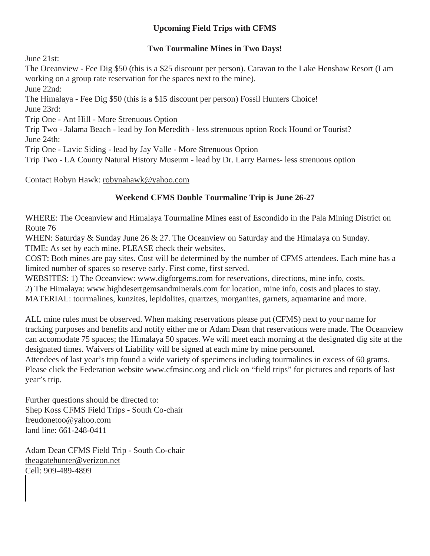## **Upcoming Field Trips with CFMS**

## **Two Tourmaline Mines in Two Days!**

June 21st:

The Oceanview - Fee Dig \$50 (this is a \$25 discount per person). Caravan to the Lake Henshaw Resort (I am working on a group rate reservation for the spaces next to the mine).

June 22nd:

The Himalaya - Fee Dig \$50 (this is a \$15 discount per person) Fossil Hunters Choice! June 23rd:

Trip One - Ant Hill - More Strenuous Option

Trip Two - Jalama Beach - lead by Jon Meredith - less strenuous option Rock Hound or Tourist? June 24th:

Trip One - Lavic Siding - lead by Jay Valle - More Strenuous Option

Trip Two - LA County Natural History Museum - lead by Dr. Larry Barnes- less strenuous option

Contact Robyn Hawk: robynahawk@yahoo.com

# **Weekend CFMS Double Tourmaline Trip is June 26-27**

WHERE: The Oceanview and Himalaya Tourmaline Mines east of Escondido in the Pala Mining District on Route 76

WHEN: Saturday & Sunday June 26 & 27. The Oceanview on Saturday and the Himalaya on Sunday. TIME: As set by each mine. PLEASE check their websites.

COST: Both mines are pay sites. Cost will be determined by the number of CFMS attendees. Each mine has a limited number of spaces so reserve early. First come, first served.

WEBSITES: 1) The Oceanview: www.digforgems.com for reservations, directions, mine info, costs. 2) The Himalaya: www.highdesertgemsandminerals.com for location, mine info, costs and places to stay. MATERIAL: tourmalines, kunzites, lepidolites, quartzes, morganites, garnets, aquamarine and more.

ALL mine rules must be observed. When making reservations please put (CFMS) next to your name for tracking purposes and benefits and notify either me or Adam Dean that reservations were made. The Oceanview can accomodate 75 spaces; the Himalaya 50 spaces. We will meet each morning at the designated dig site at the designated times. Waivers of Liability will be signed at each mine by mine personnel.

Attendees of last year's trip found a wide variety of specimens including tourmalines in excess of 60 grams. Please click the Federation website www.cfmsinc.org and click on "field trips" for pictures and reports of last year's trip.

Further questions should be directed to: Shep Koss CFMS Field Trips - South Co-chair freudonetoo@yahoo.com land line: 661-248-0411

Adam Dean CFMS Field Trip - South Co-chair theagatehunter@verizon.net Cell: 909-489-4899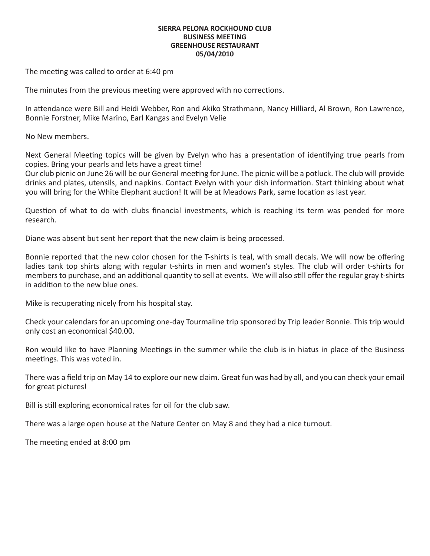#### **SIERRA PELONA ROCKHOUND CLUB BUSINESS MEETING GREENHOUSE RESTAURANT 05/04/2010**

The meeting was called to order at 6:40 pm

The minutes from the previous meeting were approved with no corrections.

In attendance were Bill and Heidi Webber, Ron and Akiko Strathmann, Nancy Hilliard, Al Brown, Ron Lawrence, Bonnie Forstner, Mike Marino, Earl Kangas and Evelyn Velie

No New members.

Next General Meeting topics will be given by Evelyn who has a presentation of identifying true pearls from copies. Bring your pearls and lets have a great time!

Our club picnic on June 26 will be our General meeting for June. The picnic will be a potluck. The club will provide drinks and plates, utensils, and napkins. Contact Evelyn with your dish information. Start thinking about what you will bring for the White Elephant auction! It will be at Meadows Park, same location as last year.

Question of what to do with clubs financial investments, which is reaching its term was pended for more research.

Diane was absent but sent her report that the new claim is being processed.

Bonnie reported that the new color chosen for the T-shirts is teal, with small decals. We will now be offering ladies tank top shirts along with regular t-shirts in men and women's styles. The club will order t-shirts for members to purchase, and an additional quantity to sell at events. We will also still offer the regular gray t-shirts in addition to the new blue ones.

Mike is recuperating nicely from his hospital stay.

Check your calendars for an upcoming one-day Tourmaline trip sponsored by Trip leader Bonnie. This trip would only cost an economical \$40.00.

Ron would like to have Planning Meetings in the summer while the club is in hiatus in place of the Business meetings. This was voted in.

There was a field trip on May 14 to explore our new claim. Great fun was had by all, and you can check your email for great pictures!

Bill is still exploring economical rates for oil for the club saw.

There was a large open house at the Nature Center on May 8 and they had a nice turnout.

The meeting ended at 8:00 pm